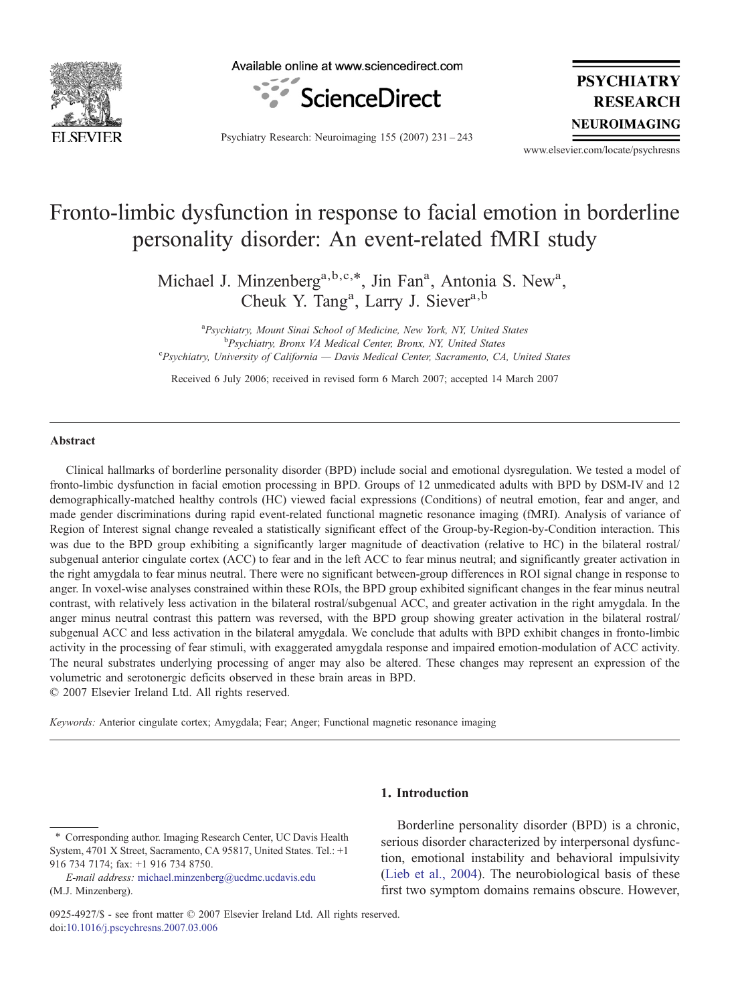

Available online at www.sciencedirect.com



**PSYCHIATRY RESEARCH NEUROIMAGING** 

Psychiatry Research: Neuroimaging 155 (2007) 231–243

www.elsevier.com/locate/psychresns

# Fronto-limbic dysfunction in response to facial emotion in borderline personality disorder: An event-related fMRI study

Michael J. Minzenberg<sup>a,b,c,\*</sup>, Jin Fan<sup>a</sup>, Antonia S. New<sup>a</sup>, Cheuk Y. Tang<sup>a</sup>, Larry J. Siever<sup>a,b</sup>

<sup>a</sup> Psychiatry, Mount Sinai School of Medicine, New York, NY, United States<br><sup>b</sup> Psychiatry, Bronx VA Medical Cantar, Bronx, NY, United States <sup>b</sup>Psychiatry, Bronx VA Medical Center, Bronx, NY, United States  ${}^cP$ sychiatry, University of California — Davis Medical Center, Sacramento, CA, United States

Received 6 July 2006; received in revised form 6 March 2007; accepted 14 March 2007

#### Abstract

Clinical hallmarks of borderline personality disorder (BPD) include social and emotional dysregulation. We tested a model of fronto-limbic dysfunction in facial emotion processing in BPD. Groups of 12 unmedicated adults with BPD by DSM-IV and 12 demographically-matched healthy controls (HC) viewed facial expressions (Conditions) of neutral emotion, fear and anger, and made gender discriminations during rapid event-related functional magnetic resonance imaging (fMRI). Analysis of variance of Region of Interest signal change revealed a statistically significant effect of the Group-by-Region-by-Condition interaction. This was due to the BPD group exhibiting a significantly larger magnitude of deactivation (relative to HC) in the bilateral rostral/ subgenual anterior cingulate cortex (ACC) to fear and in the left ACC to fear minus neutral; and significantly greater activation in the right amygdala to fear minus neutral. There were no significant between-group differences in ROI signal change in response to anger. In voxel-wise analyses constrained within these ROIs, the BPD group exhibited significant changes in the fear minus neutral contrast, with relatively less activation in the bilateral rostral/subgenual ACC, and greater activation in the right amygdala. In the anger minus neutral contrast this pattern was reversed, with the BPD group showing greater activation in the bilateral rostral/ subgenual ACC and less activation in the bilateral amygdala. We conclude that adults with BPD exhibit changes in fronto-limbic activity in the processing of fear stimuli, with exaggerated amygdala response and impaired emotion-modulation of ACC activity. The neural substrates underlying processing of anger may also be altered. These changes may represent an expression of the volumetric and serotonergic deficits observed in these brain areas in BPD. © 2007 Elsevier Ireland Ltd. All rights reserved.

Keywords: Anterior cingulate cortex; Amygdala; Fear; Anger; Functional magnetic resonance imaging

# 1. Introduction

<sup>⁎</sup> Corresponding author. Imaging Research Center, UC Davis Health System, 4701 X Street, Sacramento, CA 95817, United States. Tel.: +1 916 734 7174; fax: +1 916 734 8750.

E-mail address: [michael.minzenberg@ucdmc.ucdavis.edu](mailto:michael.minzenberg@ucdmc.ucdavis.edu) (M.J. Minzenberg).

Borderline personality disorder (BPD) is a chronic, serious disorder characterized by interpersonal dysfunction, emotional instability and behavioral impulsivity [\(Lieb et al., 2004](#page-10-0)). The neurobiological basis of these first two symptom domains remains obscure. However,

<sup>0925-4927/\$ -</sup> see front matter © 2007 Elsevier Ireland Ltd. All rights reserved. doi[:10.1016/j.pscychresns.2007.03.006](http://dx.doi.org/10.1016/j.pscychresns.2007.03.006)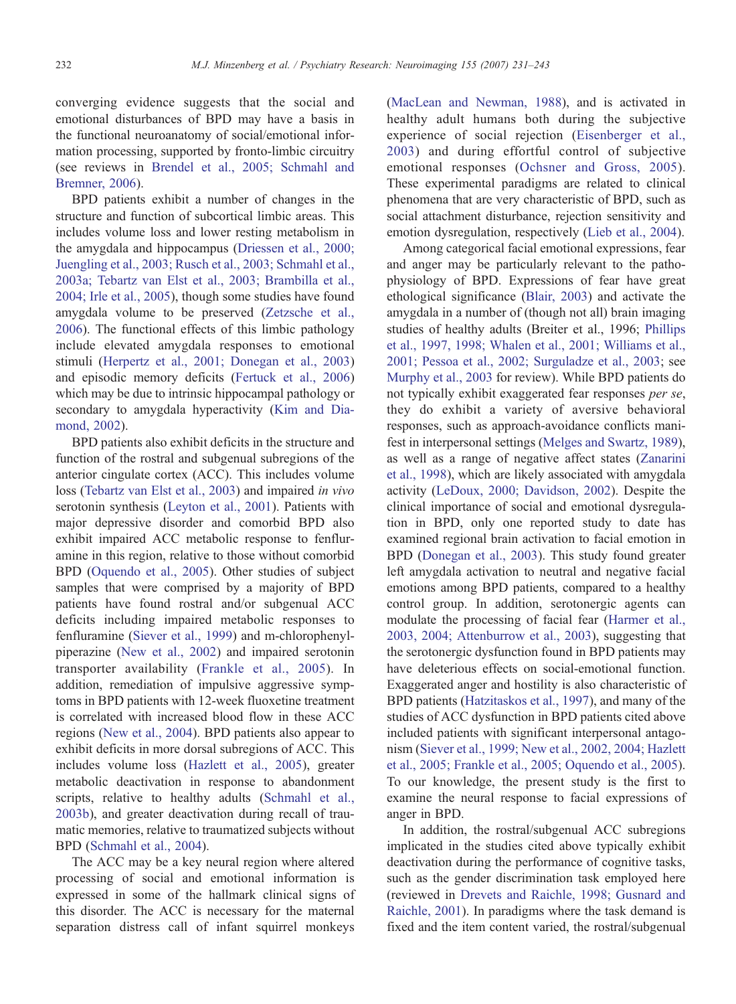converging evidence suggests that the social and emotional disturbances of BPD may have a basis in the functional neuroanatomy of social/emotional information processing, supported by fronto-limbic circuitry (see reviews in [Brendel et al., 2005; Schmahl and](#page-9-0) [Bremner, 2006\)](#page-9-0).

BPD patients exhibit a number of changes in the structure and function of subcortical limbic areas. This includes volume loss and lower resting metabolism in the amygdala and hippocampus ([Driessen et al., 2000;](#page-9-0) [Juengling et al., 2003; Rusch et al., 2003; Schmahl et al.,](#page-9-0) [2003a; Tebartz van Elst et al., 2003; Brambilla et al.,](#page-9-0) [2004; Irle et al., 2005](#page-9-0)), though some studies have found amygdala volume to be preserved ([Zetzsche et al.,](#page-12-0) [2006](#page-12-0)). The functional effects of this limbic pathology include elevated amygdala responses to emotional stimuli [\(Herpertz et al., 2001; Donegan et al., 2003](#page-10-0)) and episodic memory deficits [\(Fertuck et al., 2006](#page-10-0)) which may be due to intrinsic hippocampal pathology or secondary to amygdala hyperactivity ([Kim and Dia](#page-10-0)[mond, 2002](#page-10-0)).

BPD patients also exhibit deficits in the structure and function of the rostral and subgenual subregions of the anterior cingulate cortex (ACC). This includes volume loss ([Tebartz van Elst et al., 2003\)](#page-11-0) and impaired in vivo serotonin synthesis [\(Leyton et al., 2001](#page-10-0)). Patients with major depressive disorder and comorbid BPD also exhibit impaired ACC metabolic response to fenfluramine in this region, relative to those without comorbid BPD ([Oquendo et al., 2005\)](#page-11-0). Other studies of subject samples that were comprised by a majority of BPD patients have found rostral and/or subgenual ACC deficits including impaired metabolic responses to fenfluramine [\(Siever et al., 1999](#page-11-0)) and m-chlorophenylpiperazine ([New et al., 2002](#page-11-0)) and impaired serotonin transporter availability ([Frankle et al., 2005](#page-10-0)). In addition, remediation of impulsive aggressive symptoms in BPD patients with 12-week fluoxetine treatment is correlated with increased blood flow in these ACC regions [\(New et al., 2004\)](#page-11-0). BPD patients also appear to exhibit deficits in more dorsal subregions of ACC. This includes volume loss [\(Hazlett et al., 2005\)](#page-10-0), greater metabolic deactivation in response to abandonment scripts, relative to healthy adults [\(Schmahl et al.,](#page-11-0) [2003b](#page-11-0)), and greater deactivation during recall of traumatic memories, relative to traumatized subjects without BPD ([Schmahl et al., 2004](#page-11-0)).

The ACC may be a key neural region where altered processing of social and emotional information is expressed in some of the hallmark clinical signs of this disorder. The ACC is necessary for the maternal separation distress call of infant squirrel monkeys

[\(MacLean and Newman, 1988\)](#page-10-0), and is activated in healthy adult humans both during the subjective experience of social rejection ([Eisenberger et al.,](#page-9-0) [2003](#page-9-0)) and during effortful control of subjective emotional responses ([Ochsner and Gross, 2005](#page-11-0)). These experimental paradigms are related to clinical phenomena that are very characteristic of BPD, such as social attachment disturbance, rejection sensitivity and emotion dysregulation, respectively ([Lieb et al., 2004\)](#page-10-0).

Among categorical facial emotional expressions, fear and anger may be particularly relevant to the pathophysiology of BPD. Expressions of fear have great ethological significance [\(Blair, 2003\)](#page-9-0) and activate the amygdala in a number of (though not all) brain imaging studies of healthy adults (Breiter et al., 1996; [Phillips](#page-11-0) [et al., 1997, 1998; Whalen et al., 2001; Williams et al.,](#page-11-0) [2001; Pessoa et al., 2002; Surguladze et al., 2003;](#page-11-0) see [Murphy et al., 2003](#page-10-0) for review). While BPD patients do not typically exhibit exaggerated fear responses *per se*, they do exhibit a variety of aversive behavioral responses, such as approach-avoidance conflicts manifest in interpersonal settings ([Melges and Swartz, 1989\)](#page-10-0), as well as a range of negative affect states ([Zanarini](#page-12-0) [et al., 1998\)](#page-12-0), which are likely associated with amygdala activity ([LeDoux, 2000; Davidson, 2002](#page-10-0)). Despite the clinical importance of social and emotional dysregulation in BPD, only one reported study to date has examined regional brain activation to facial emotion in BPD [\(Donegan et al., 2003\)](#page-9-0). This study found greater left amygdala activation to neutral and negative facial emotions among BPD patients, compared to a healthy control group. In addition, serotonergic agents can modulate the processing of facial fear [\(Harmer et al.,](#page-10-0) [2003, 2004; Attenburrow et al., 2003\)](#page-10-0), suggesting that the serotonergic dysfunction found in BPD patients may have deleterious effects on social-emotional function. Exaggerated anger and hostility is also characteristic of BPD patients ([Hatzitaskos et al., 1997\)](#page-10-0), and many of the studies of ACC dysfunction in BPD patients cited above included patients with significant interpersonal antagonism ([Siever et al., 1999; New et al., 2002, 2004; Hazlett](#page-11-0) [et al., 2005; Frankle et al., 2005; Oquendo et al., 2005\)](#page-11-0). To our knowledge, the present study is the first to examine the neural response to facial expressions of anger in BPD.

In addition, the rostral/subgenual ACC subregions implicated in the studies cited above typically exhibit deactivation during the performance of cognitive tasks, such as the gender discrimination task employed here (reviewed in [Drevets and Raichle, 1998; Gusnard and](#page-9-0) [Raichle, 2001\)](#page-9-0). In paradigms where the task demand is fixed and the item content varied, the rostral/subgenual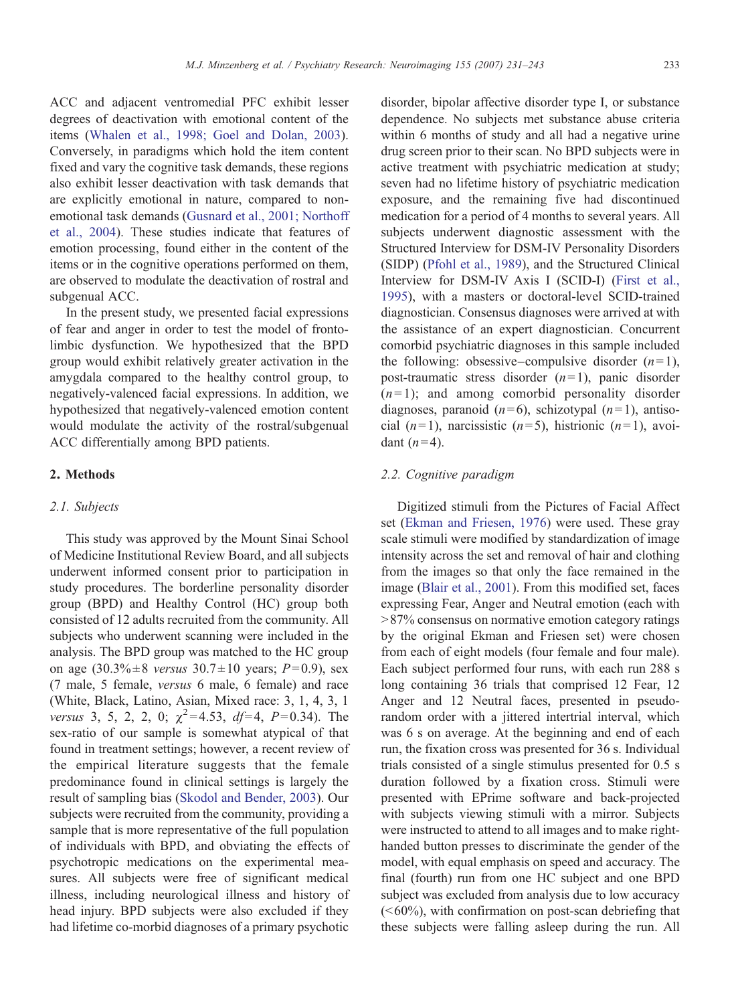ACC and adjacent ventromedial PFC exhibit lesser degrees of deactivation with emotional content of the items [\(Whalen et al., 1998; Goel and Dolan, 2003](#page-12-0)). Conversely, in paradigms which hold the item content fixed and vary the cognitive task demands, these regions also exhibit lesser deactivation with task demands that are explicitly emotional in nature, compared to nonemotional task demands [\(Gusnard et al., 2001; Northoff](#page-10-0) [et al., 2004\)](#page-10-0). These studies indicate that features of emotion processing, found either in the content of the items or in the cognitive operations performed on them, are observed to modulate the deactivation of rostral and subgenual ACC.

In the present study, we presented facial expressions of fear and anger in order to test the model of frontolimbic dysfunction. We hypothesized that the BPD group would exhibit relatively greater activation in the amygdala compared to the healthy control group, to negatively-valenced facial expressions. In addition, we hypothesized that negatively-valenced emotion content would modulate the activity of the rostral/subgenual ACC differentially among BPD patients.

#### 2. Methods

# 2.1. Subjects

This study was approved by the Mount Sinai School of Medicine Institutional Review Board, and all subjects underwent informed consent prior to participation in study procedures. The borderline personality disorder group (BPD) and Healthy Control (HC) group both consisted of 12 adults recruited from the community. All subjects who underwent scanning were included in the analysis. The BPD group was matched to the HC group on age  $(30.3\% \pm 8 \text{ versus } 30.7 \pm 10 \text{ years}; P=0.9)$ , sex (7 male, 5 female, versus 6 male, 6 female) and race (White, Black, Latino, Asian, Mixed race: 3, 1, 4, 3, 1 versus 3, 5, 2, 2, 0;  $\chi^2 = 4.53$ ,  $df = 4$ ,  $P = 0.34$ ). The sex-ratio of our sample is somewhat atypical of that found in treatment settings; however, a recent review of the empirical literature suggests that the female predominance found in clinical settings is largely the result of sampling bias ([Skodol and Bender, 2003](#page-11-0)). Our subjects were recruited from the community, providing a sample that is more representative of the full population of individuals with BPD, and obviating the effects of psychotropic medications on the experimental measures. All subjects were free of significant medical illness, including neurological illness and history of head injury. BPD subjects were also excluded if they had lifetime co-morbid diagnoses of a primary psychotic

disorder, bipolar affective disorder type I, or substance dependence. No subjects met substance abuse criteria within 6 months of study and all had a negative urine drug screen prior to their scan. No BPD subjects were in active treatment with psychiatric medication at study; seven had no lifetime history of psychiatric medication exposure, and the remaining five had discontinued medication for a period of 4 months to several years. All subjects underwent diagnostic assessment with the Structured Interview for DSM-IV Personality Disorders (SIDP) [\(Pfohl et al., 1989](#page-11-0)), and the Structured Clinical Interview for DSM-IV Axis I (SCID-I) ([First et al.,](#page-10-0) [1995\)](#page-10-0), with a masters or doctoral-level SCID-trained diagnostician. Consensus diagnoses were arrived at with the assistance of an expert diagnostician. Concurrent comorbid psychiatric diagnoses in this sample included the following: obsessive–compulsive disorder  $(n=1)$ , post-traumatic stress disorder  $(n=1)$ , panic disorder  $(n=1)$ ; and among comorbid personality disorder diagnoses, paranoid  $(n=6)$ , schizotypal  $(n=1)$ , antisocial  $(n=1)$ , narcissistic  $(n=5)$ , histrionic  $(n=1)$ , avoidant  $(n=4)$ .

#### 2.2. Cognitive paradigm

Digitized stimuli from the Pictures of Facial Affect set ([Ekman and Friesen, 1976](#page-9-0)) were used. These gray scale stimuli were modified by standardization of image intensity across the set and removal of hair and clothing from the images so that only the face remained in the image ([Blair et al., 2001\)](#page-9-0). From this modified set, faces expressing Fear, Anger and Neutral emotion (each with  $>87\%$  consensus on normative emotion category ratings by the original Ekman and Friesen set) were chosen from each of eight models (four female and four male). Each subject performed four runs, with each run 288 s long containing 36 trials that comprised 12 Fear, 12 Anger and 12 Neutral faces, presented in pseudorandom order with a jittered intertrial interval, which was 6 s on average. At the beginning and end of each run, the fixation cross was presented for 36 s. Individual trials consisted of a single stimulus presented for 0.5 s duration followed by a fixation cross. Stimuli were presented with EPrime software and back-projected with subjects viewing stimuli with a mirror. Subjects were instructed to attend to all images and to make righthanded button presses to discriminate the gender of the model, with equal emphasis on speed and accuracy. The final (fourth) run from one HC subject and one BPD subject was excluded from analysis due to low accuracy  $(<60\%)$ , with confirmation on post-scan debriefing that these subjects were falling asleep during the run. All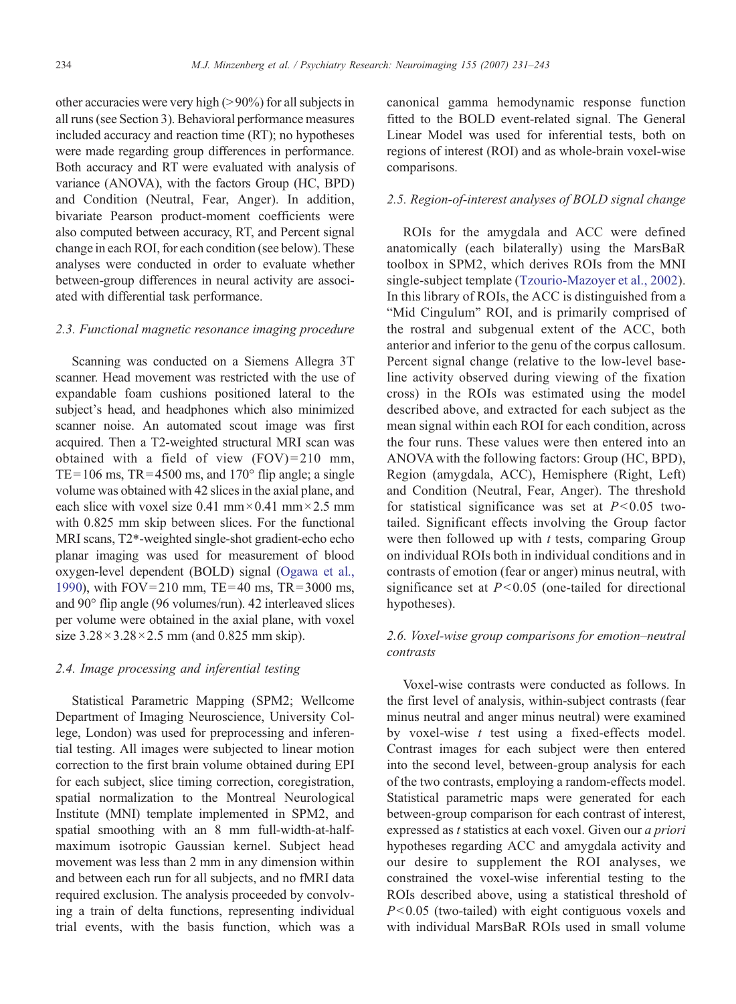other accuracies were very high  $(>90\%)$  for all subjects in all runs (see Section 3). Behavioral performance measures included accuracy and reaction time (RT); no hypotheses were made regarding group differences in performance. Both accuracy and RT were evaluated with analysis of variance (ANOVA), with the factors Group (HC, BPD) and Condition (Neutral, Fear, Anger). In addition, bivariate Pearson product-moment coefficients were also computed between accuracy, RT, and Percent signal change in each ROI, for each condition (see below). These analyses were conducted in order to evaluate whether between-group differences in neural activity are associated with differential task performance.

# 2.3. Functional magnetic resonance imaging procedure

Scanning was conducted on a Siemens Allegra 3T scanner. Head movement was restricted with the use of expandable foam cushions positioned lateral to the subject's head, and headphones which also minimized scanner noise. An automated scout image was first acquired. Then a T2-weighted structural MRI scan was obtained with a field of view  $(FOV)=210$  mm, TE= $106$  ms, TR= $4500$  ms, and  $170^\circ$  flip angle; a single volume was obtained with 42 slices in the axial plane, and each slice with voxel size 0.41 mm $\times$ 0.41 mm $\times$ 2.5 mm with 0.825 mm skip between slices. For the functional MRI scans, T2<sup>\*</sup>-weighted single-shot gradient-echo echo planar imaging was used for measurement of blood oxygen-level dependent (BOLD) signal ([Ogawa et al.,](#page-11-0) [1990\)](#page-11-0), with  $FOV = 210$  mm,  $TE = 40$  ms,  $TR = 3000$  ms, and 90° flip angle (96 volumes/run). 42 interleaved slices per volume were obtained in the axial plane, with voxel size  $3.28 \times 3.28 \times 2.5$  mm (and 0.825 mm skip).

## 2.4. Image processing and inferential testing

Statistical Parametric Mapping (SPM2; Wellcome Department of Imaging Neuroscience, University College, London) was used for preprocessing and inferential testing. All images were subjected to linear motion correction to the first brain volume obtained during EPI for each subject, slice timing correction, coregistration, spatial normalization to the Montreal Neurological Institute (MNI) template implemented in SPM2, and spatial smoothing with an 8 mm full-width-at-halfmaximum isotropic Gaussian kernel. Subject head movement was less than 2 mm in any dimension within and between each run for all subjects, and no fMRI data required exclusion. The analysis proceeded by convolving a train of delta functions, representing individual trial events, with the basis function, which was a

canonical gamma hemodynamic response function fitted to the BOLD event-related signal. The General Linear Model was used for inferential tests, both on regions of interest (ROI) and as whole-brain voxel-wise comparisons.

# 2.5. Region-of-interest analyses of BOLD signal change

ROIs for the amygdala and ACC were defined anatomically (each bilaterally) using the MarsBaR toolbox in SPM2, which derives ROIs from the MNI single-subject template [\(Tzourio-Mazoyer et al., 2002\)](#page-11-0). In this library of ROIs, the ACC is distinguished from a "Mid Cingulum" ROI, and is primarily comprised of the rostral and subgenual extent of the ACC, both anterior and inferior to the genu of the corpus callosum. Percent signal change (relative to the low-level baseline activity observed during viewing of the fixation cross) in the ROIs was estimated using the model described above, and extracted for each subject as the mean signal within each ROI for each condition, across the four runs. These values were then entered into an ANOVA with the following factors: Group (HC, BPD), Region (amygdala, ACC), Hemisphere (Right, Left) and Condition (Neutral, Fear, Anger). The threshold for statistical significance was set at  $P<0.05$  twotailed. Significant effects involving the Group factor were then followed up with  $t$  tests, comparing Group on individual ROIs both in individual conditions and in contrasts of emotion (fear or anger) minus neutral, with significance set at  $P<0.05$  (one-tailed for directional hypotheses).

# 2.6. Voxel-wise group comparisons for emotion–neutral contrasts

Voxel-wise contrasts were conducted as follows. In the first level of analysis, within-subject contrasts (fear minus neutral and anger minus neutral) were examined by voxel-wise  $t$  test using a fixed-effects model. Contrast images for each subject were then entered into the second level, between-group analysis for each of the two contrasts, employing a random-effects model. Statistical parametric maps were generated for each between-group comparison for each contrast of interest, expressed as t statistics at each voxel. Given our a priori hypotheses regarding ACC and amygdala activity and our desire to supplement the ROI analyses, we constrained the voxel-wise inferential testing to the ROIs described above, using a statistical threshold of  $P<0.05$  (two-tailed) with eight contiguous voxels and with individual MarsBaR ROIs used in small volume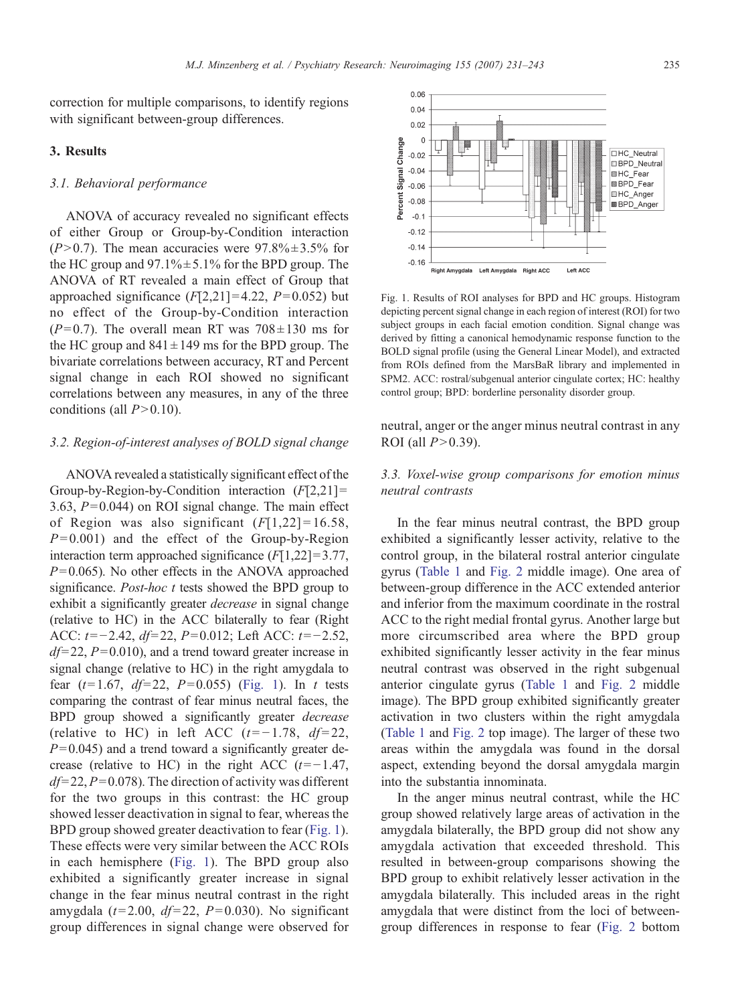<span id="page-4-0"></span>correction for multiple comparisons, to identify regions with significant between-group differences.

# 3. Results

#### 3.1. Behavioral performance

ANOVA of accuracy revealed no significant effects of either Group or Group-by-Condition interaction  $(P>0.7)$ . The mean accuracies were  $97.8\% \pm 3.5\%$  for the HC group and  $97.1\% \pm 5.1\%$  for the BPD group. The ANOVA of RT revealed a main effect of Group that approached significance  $(F[2,21] = 4.22, P= 0.052)$  but no effect of the Group-by-Condition interaction  $(P= 0.7)$ . The overall mean RT was  $708 \pm 130$  ms for the HC group and  $841 \pm 149$  ms for the BPD group. The bivariate correlations between accuracy, RT and Percent signal change in each ROI showed no significant correlations between any measures, in any of the three conditions (all  $P > 0.10$ ).

## 3.2. Region-of-interest analyses of BOLD signal change

ANOVA revealed a statistically significant effect of the Group-by-Region-by-Condition interaction  $(F[2,21] =$ 3.63,  $P = 0.044$ ) on ROI signal change. The main effect of Region was also significant  $(F[1,22] = 16.58$ ,  $P= 0.001$ ) and the effect of the Group-by-Region interaction term approached significance  $(F[1,22]=3.77$ ,  $P= 0.065$ ). No other effects in the ANOVA approached significance. *Post-hoc t* tests showed the BPD group to exhibit a significantly greater *decrease* in signal change (relative to HC) in the ACC bilaterally to fear (Right ACC:  $t=-2.42$ ,  $df=22$ ,  $P=0.012$ ; Left ACC:  $t=-2.52$ ,  $df= 22$ ,  $P= 0.010$ , and a trend toward greater increase in signal change (relative to HC) in the right amygdala to fear  $(t=1.67, df=22, P=0.055)$  (Fig. 1). In t tests comparing the contrast of fear minus neutral faces, the BPD group showed a significantly greater decrease (relative to HC) in left ACC  $(t=-1.78, df=22,$  $P = 0.045$ ) and a trend toward a significantly greater decrease (relative to HC) in the right ACC  $(t=-1.47)$ ,  $df= 22$ ,  $P= 0.078$ ). The direction of activity was different for the two groups in this contrast: the HC group showed lesser deactivation in signal to fear, whereas the BPD group showed greater deactivation to fear (Fig. 1). These effects were very similar between the ACC ROIs in each hemisphere (Fig. 1). The BPD group also exhibited a significantly greater increase in signal change in the fear minus neutral contrast in the right amygdala ( $t= 2.00$ ,  $df= 22$ ,  $P= 0.030$ ). No significant group differences in signal change were observed for



Fig. 1. Results of ROI analyses for BPD and HC groups. Histogram depicting percent signal change in each region of interest (ROI) for two subject groups in each facial emotion condition. Signal change was derived by fitting a canonical hemodynamic response function to the BOLD signal profile (using the General Linear Model), and extracted from ROIs defined from the MarsBaR library and implemented in SPM2. ACC: rostral/subgenual anterior cingulate cortex; HC: healthy control group; BPD: borderline personality disorder group.

neutral, anger or the anger minus neutral contrast in any ROI (all  $P > 0.39$ ).

# 3.3. Voxel-wise group comparisons for emotion minus neutral contrasts

In the fear minus neutral contrast, the BPD group exhibited a significantly lesser activity, relative to the control group, in the bilateral rostral anterior cingulate gyrus ([Table 1](#page-5-0) and [Fig. 2](#page-6-0) middle image). One area of between-group difference in the ACC extended anterior and inferior from the maximum coordinate in the rostral ACC to the right medial frontal gyrus. Another large but more circumscribed area where the BPD group exhibited significantly lesser activity in the fear minus neutral contrast was observed in the right subgenual anterior cingulate gyrus ([Table 1](#page-5-0) and [Fig. 2](#page-6-0) middle image). The BPD group exhibited significantly greater activation in two clusters within the right amygdala [\(Table 1](#page-5-0) and [Fig. 2](#page-6-0) top image). The larger of these two areas within the amygdala was found in the dorsal aspect, extending beyond the dorsal amygdala margin into the substantia innominata.

In the anger minus neutral contrast, while the HC group showed relatively large areas of activation in the amygdala bilaterally, the BPD group did not show any amygdala activation that exceeded threshold. This resulted in between-group comparisons showing the BPD group to exhibit relatively lesser activation in the amygdala bilaterally. This included areas in the right amygdala that were distinct from the loci of betweengroup differences in response to fear [\(Fig. 2](#page-6-0) bottom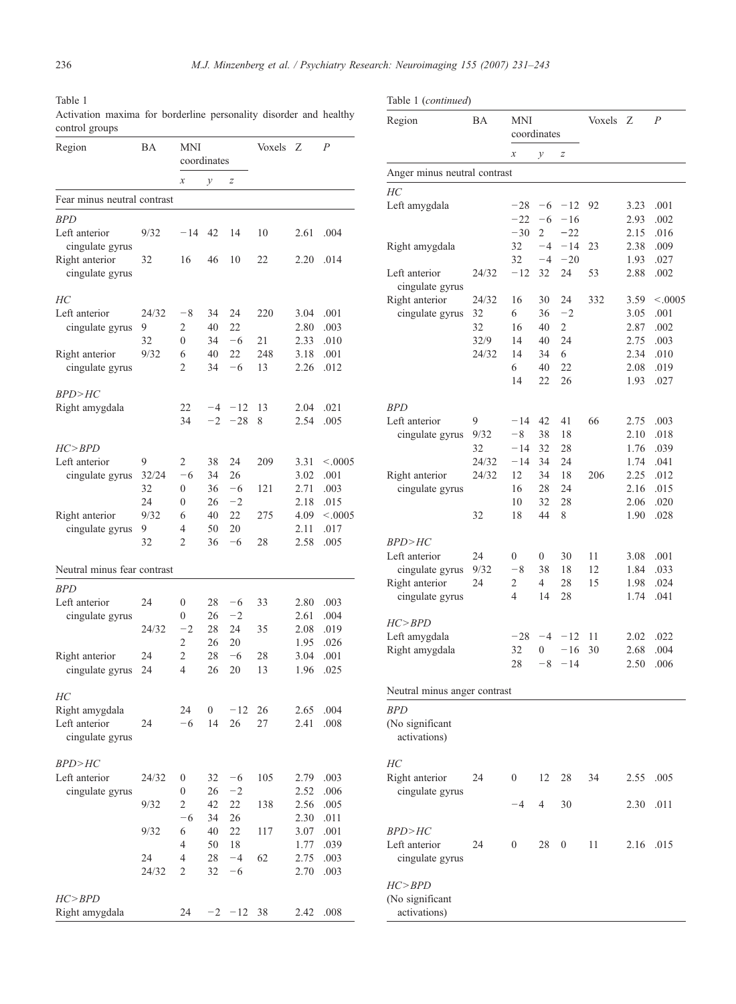<span id="page-5-0"></span>Table 1

|                |  | Activation maxima for borderline personality disorder and healthy |  |  |
|----------------|--|-------------------------------------------------------------------|--|--|
| control groups |  |                                                                   |  |  |

| Region                            | BA    | MNI<br>coordinates |               | Voxels   | Ζ        | $\boldsymbol{P}$ |              |
|-----------------------------------|-------|--------------------|---------------|----------|----------|------------------|--------------|
|                                   |       | $\boldsymbol{x}$   | $\mathcal{Y}$ | Z        |          |                  |              |
| Fear minus neutral contrast       |       |                    |               |          |          |                  |              |
| <b>BPD</b>                        |       |                    |               |          |          |                  |              |
| Left anterior<br>cingulate gyrus  | 9/32  | $-14$              | 42            | 14       | 10       | 2.61             | .004         |
| Right anterior<br>cingulate gyrus | 32    | 16                 | 46            | 10       | 22       | 2.20             | .014         |
| HС                                |       |                    |               |          |          |                  |              |
| Left anterior                     | 24/32 | $-8$               | 34            | 24       | 220      | 3.04             | .001         |
| cingulate gyrus                   | 9     | 2                  | 40            | 22       |          | 2.80             | .003         |
|                                   | 32    | 0                  | 34            | -6       | 21       | 2.33             | .010         |
| Right anterior                    | 9/32  | 6                  | 40            | 22       | 248      | 3.18             | .001         |
| cingulate gyrus                   |       | $\overline{2}$     | 34            | -6       | 13       | 2.26             | .012         |
| <i>BPD&gt;HC</i>                  |       |                    |               |          |          |                  |              |
| Right amygdala                    |       | 22                 | $-4$          | - 12     | 13       | 2.04             | .021         |
|                                   |       | 34                 | $-2$          | $-28$    | 8        | 2.54             | .005         |
| HC>BPD                            |       |                    |               |          |          |                  |              |
| Left anterior                     | 9     | 2                  | 38            | 24       | 209      | 3.31             | < 0.0005     |
| cingulate gyrus                   | 32/24 | -6                 | 34            | 26       |          | 3.02             | .001         |
|                                   | 32    | $\bf{0}$           | 36            | -6       | 121      | 2.71             | .003         |
|                                   | 24    | 0                  | 26            | $^{-2}$  |          | 2.18             | .015         |
| Right anterior                    | 9/32  | 6                  | 40            | 22       | 275      | 4.09             | < 0.0005     |
| cingulate gyrus                   | 9     | 4                  | 50            | 20       |          | 2.11             | .017         |
|                                   | 32    | 2                  | 36            | -6       | 28       | 2.58             | .005         |
| Neutral minus fear contrast       |       |                    |               |          |          |                  |              |
| <b>BPD</b>                        |       |                    |               |          |          |                  |              |
| Left anterior                     | 24    | $\mathbf{0}$       | 28            | -6       | 33       | 2.80             | .003         |
| cingulate gyrus                   |       | 0                  | 26            | $^{-2}$  |          | 2.61             | .004         |
|                                   | 24/32 | $^{-2}$            | 28            | 24       | 35       | 2.08             | .019         |
| Right anterior                    | 24    | 2<br>2             | 26<br>28      | 20<br>-6 | 28       | 1.95<br>3.04     | .026<br>.001 |
| cingulate gyrus                   | 24    | $\overline{4}$     | 26            | 20       | 13       | 1.96             | .025         |
|                                   |       |                    |               |          |          |                  |              |
| HC                                |       |                    |               | $-12$    |          |                  |              |
| Right amygdala<br>Left anterior   | 24    | 24<br>$-6$         | 0<br>14       | 26       | 26<br>27 | 2.65<br>2.41     | .004<br>.008 |
| cingulate gyrus                   |       |                    |               |          |          |                  |              |
| BPD > HC                          |       |                    |               |          |          |                  |              |
| Left anterior                     | 24/32 | $\boldsymbol{0}$   | 32            | -6       | 105      | 2.79             | .003         |
| cingulate gyrus                   |       | $\boldsymbol{0}$   | 26            | $-2$     |          | 2.52             | .006         |
|                                   | 9/32  | 2                  | 42            | 22       | 138      | 2.56             | .005         |
|                                   |       | $-6$               | 34            | 26       |          | 2.30             | .011         |
|                                   | 9/32  | 6                  | 40            | 22       | 117      | 3.07             | .001         |
|                                   |       | 4                  | 50            | 18       |          | 1.77             | .039         |
|                                   | 24    | $\overline{4}$     | 28            | $-4$     | 62       | 2.75             | .003         |
|                                   | 24/32 | $\overline{c}$     | 32            | -6       |          | 2.70             | .003         |
| $HC$ > $BPD$                      |       |                    |               |          |          |                  |              |
| Right amygdala                    |       | 24                 | $^{-2}$       | $-12$    | 38       | 2.42             | .008         |

| Table 1 (continued)              |            |                    |                |                |        |              |              |
|----------------------------------|------------|--------------------|----------------|----------------|--------|--------------|--------------|
| Region                           | BA         | MNI<br>coordinates |                |                | Voxels | Ζ            | P            |
|                                  |            | х                  | у              | Z              |        |              |              |
| Anger minus neutral contrast     |            |                    |                |                |        |              |              |
| HС                               |            |                    |                |                |        |              |              |
| Left amygdala                    |            | $^{-28}$           | -6             | $-12$          | 92     | 3.23         | .001         |
|                                  |            | $-22$              | -6             | $-16$          |        | 2.93         | .002         |
| Right amygdala                   |            | $-30$<br>32        | 2<br>$-4$      | $-22$<br>$-14$ | 23     | 2.15<br>2.38 | .016<br>.009 |
|                                  |            | 32                 | $-4$           | $-20$          |        | 1.93         | .027         |
| Left anterior<br>cingulate gyrus | 24/32      | $-12$              | 32             | 24             | 53     | 2.88         | .002         |
| Right anterior                   | 24/32      | 16                 | 30             | 24             | 332    | 3.59         | < 0.0005     |
| cingulate gyrus                  | 32         | 6                  | 36             | $^{-2}$        |        | 3.05         | .001         |
|                                  | 32         | 16                 | 40             | 2              |        | 2.87         | .002         |
|                                  | 32/9       | 14                 | 40             | 24             |        | 2.75         | .003         |
|                                  | 24/32      | 14                 | 34             | 6              |        | 2.34         | .010         |
|                                  |            | 6<br>14            | 40<br>22       | 22<br>26       |        | 2.08<br>1.93 | .019<br>.027 |
|                                  |            |                    |                |                |        |              |              |
| <b>BPD</b>                       |            |                    |                |                |        |              |              |
| Left anterior                    | 9          | $-14$              | 42             | 41             | 66     | 2.75         | .003         |
| cingulate gyrus                  | 9/32<br>32 | -8<br>$-14$        | 38<br>32       | 18<br>28       |        | 2.10<br>1.76 | .018         |
|                                  | 24/32      | $-14$              | 34             | 24             |        | 1.74         | .039<br>.041 |
| Right anterior                   | 24/32      | 12                 | 34             | 18             | 206    | 2.25         | .012         |
| cingulate gyrus                  |            | 16                 | 28             | 24             |        | 2.16         | .015         |
|                                  |            | 10                 | 32             | 28             |        | 2.06         | .020         |
|                                  | 32         | 18                 | 44             | 8              |        | 1.90         | .028         |
| BPD>HC                           |            |                    |                |                |        |              |              |
| Left anterior                    | 24         | 0                  | $\mathbf{0}$   | 30             | 11     | 3.08         | .001         |
| cingulate gyrus                  | 9/32       | $-8$               | 38             | 18             | 12     | 1.84         | .033         |
| Right anterior                   | 24         | 2                  | 4              | 28             | 15     | 1.98         | .024         |
| cingulate gyrus                  |            | 4                  | 14             | 28             |        | 1.74         | .041         |
| $HC$ > $BPD$                     |            |                    |                |                |        |              |              |
| Left amygdala                    |            | $-28$              | $-4$           | $-12$          | 11     | 2.02         | .022         |
| Right amygdala                   |            | 32                 | 0              | $-16$          | 30     | 2.68         | .004         |
|                                  |            | 28                 | $-8$           | $-14$          |        | 2.50         | .006         |
| Neutral minus anger contrast     |            |                    |                |                |        |              |              |
| BPD                              |            |                    |                |                |        |              |              |
| (No significant<br>activations)  |            |                    |                |                |        |              |              |
| HC                               |            |                    |                |                |        |              |              |
| Right anterior                   | 24         | $\mathbf{0}$       | 12             | 28             | 34     | 2.55         | .005         |
| cingulate gyrus                  |            | $-4$               | $\overline{4}$ | 30             |        | 2.30         | .011         |
|                                  |            |                    |                |                |        |              |              |
| BPD > HC                         |            |                    |                |                |        |              |              |
| Left anterior<br>cingulate gyrus | 24         | 0                  | 28             | 0              | 11     | 2.16         | .015         |
|                                  |            |                    |                |                |        |              |              |
| HC > BPD                         |            |                    |                |                |        |              |              |
| (No significant                  |            |                    |                |                |        |              |              |
| activations)                     |            |                    |                |                |        |              |              |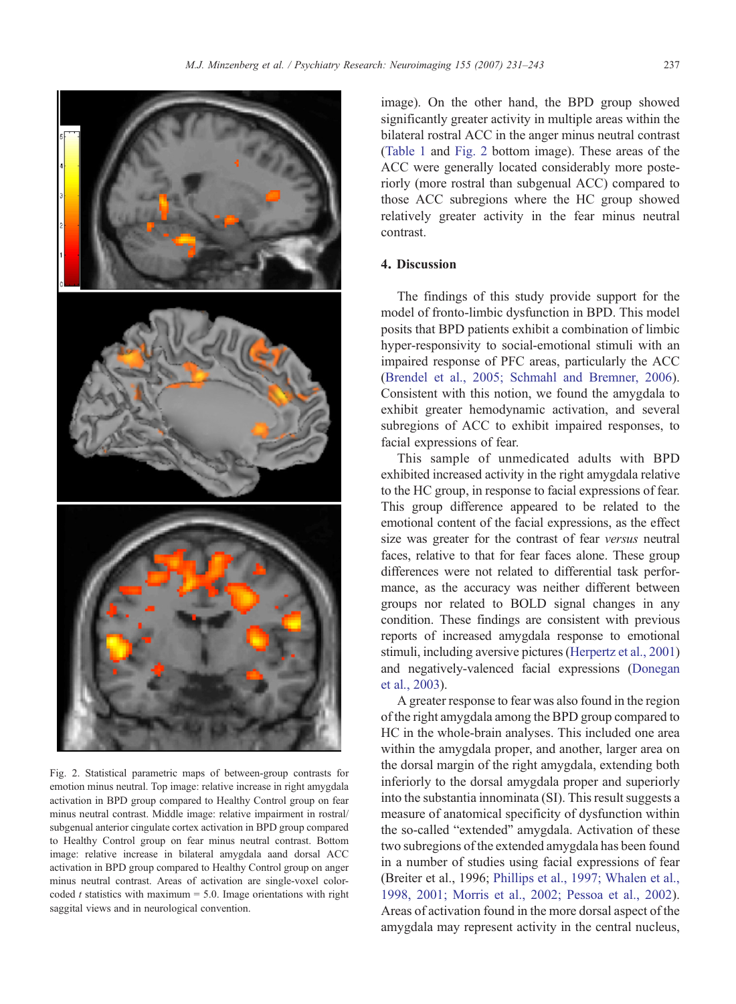<span id="page-6-0"></span>

Fig. 2. Statistical parametric maps of between-group contrasts for emotion minus neutral. Top image: relative increase in right amygdala activation in BPD group compared to Healthy Control group on fear minus neutral contrast. Middle image: relative impairment in rostral/ subgenual anterior cingulate cortex activation in BPD group compared to Healthy Control group on fear minus neutral contrast. Bottom image: relative increase in bilateral amygdala aand dorsal ACC activation in BPD group compared to Healthy Control group on anger minus neutral contrast. Areas of activation are single-voxel colorcoded  $t$  statistics with maximum = 5.0. Image orientations with right saggital views and in neurological convention.

image). On the other hand, the BPD group showed significantly greater activity in multiple areas within the bilateral rostral ACC in the anger minus neutral contrast [\(Table 1](#page-5-0) and Fig. 2 bottom image). These areas of the ACC were generally located considerably more posteriorly (more rostral than subgenual ACC) compared to those ACC subregions where the HC group showed relatively greater activity in the fear minus neutral contrast.

#### 4. Discussion

The findings of this study provide support for the model of fronto-limbic dysfunction in BPD. This model posits that BPD patients exhibit a combination of limbic hyper-responsivity to social-emotional stimuli with an impaired response of PFC areas, particularly the ACC [\(Brendel et al., 2005; Schmahl and Bremner, 2006](#page-9-0)). Consistent with this notion, we found the amygdala to exhibit greater hemodynamic activation, and several subregions of ACC to exhibit impaired responses, to facial expressions of fear.

This sample of unmedicated adults with BPD exhibited increased activity in the right amygdala relative to the HC group, in response to facial expressions of fear. This group difference appeared to be related to the emotional content of the facial expressions, as the effect size was greater for the contrast of fear versus neutral faces, relative to that for fear faces alone. These group differences were not related to differential task performance, as the accuracy was neither different between groups nor related to BOLD signal changes in any condition. These findings are consistent with previous reports of increased amygdala response to emotional stimuli, including aversive pictures ([Herpertz et al., 2001\)](#page-10-0) and negatively-valenced facial expressions ([Donegan](#page-9-0) [et al., 2003\)](#page-9-0).

A greater response to fear was also found in the region of the right amygdala among the BPD group compared to HC in the whole-brain analyses. This included one area within the amygdala proper, and another, larger area on the dorsal margin of the right amygdala, extending both inferiorly to the dorsal amygdala proper and superiorly into the substantia innominata (SI). This result suggests a measure of anatomical specificity of dysfunction within the so-called "extended" amygdala. Activation of these two subregions of the extended amygdala has been found in a number of studies using facial expressions of fear (Breiter et al., 1996; [Phillips et al., 1997; Whalen et al.,](#page-11-0) [1998, 2001; Morris et al., 2002; Pessoa et al., 2002](#page-11-0)). Areas of activation found in the more dorsal aspect of the amygdala may represent activity in the central nucleus,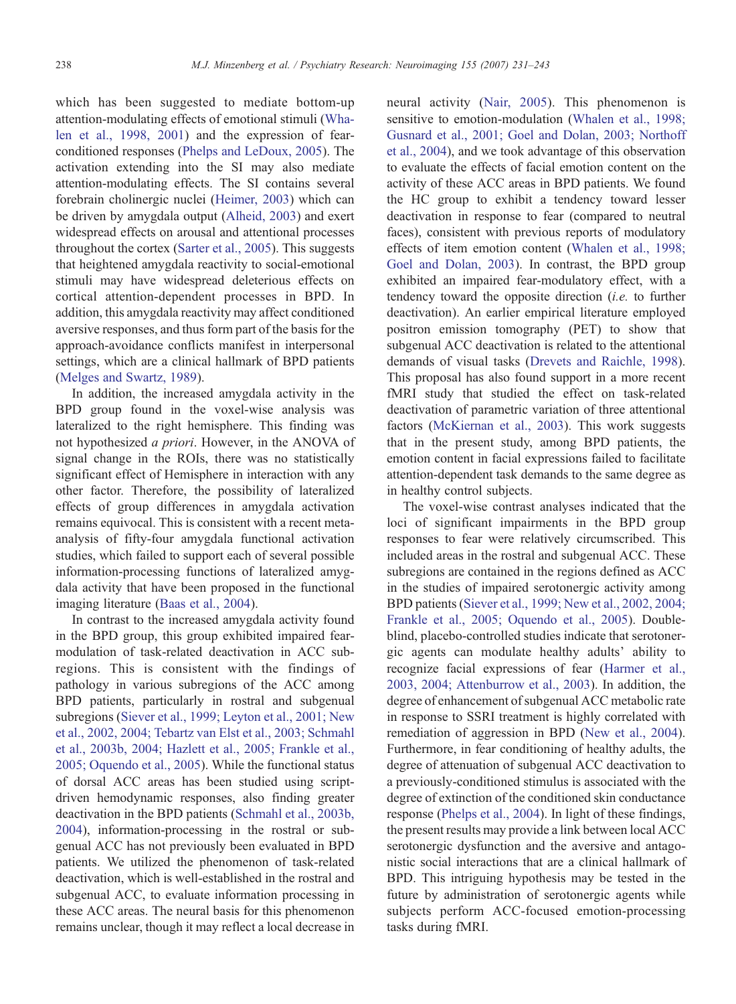which has been suggested to mediate bottom-up attention-modulating effects of emotional stimuli [\(Wha](#page-12-0)[len et al., 1998, 2001\)](#page-12-0) and the expression of fearconditioned responses ([Phelps and LeDoux, 2005\)](#page-11-0). The activation extending into the SI may also mediate attention-modulating effects. The SI contains several forebrain cholinergic nuclei [\(Heimer, 2003](#page-10-0)) which can be driven by amygdala output [\(Alheid, 2003](#page-9-0)) and exert widespread effects on arousal and attentional processes throughout the cortex ([Sarter et al., 2005\)](#page-11-0). This suggests that heightened amygdala reactivity to social-emotional stimuli may have widespread deleterious effects on cortical attention-dependent processes in BPD. In addition, this amygdala reactivity may affect conditioned aversive responses, and thus form part of the basis for the approach-avoidance conflicts manifest in interpersonal settings, which are a clinical hallmark of BPD patients [\(Melges and Swartz, 1989\)](#page-10-0).

In addition, the increased amygdala activity in the BPD group found in the voxel-wise analysis was lateralized to the right hemisphere. This finding was not hypothesized a priori. However, in the ANOVA of signal change in the ROIs, there was no statistically significant effect of Hemisphere in interaction with any other factor. Therefore, the possibility of lateralized effects of group differences in amygdala activation remains equivocal. This is consistent with a recent metaanalysis of fifty-four amygdala functional activation studies, which failed to support each of several possible information-processing functions of lateralized amygdala activity that have been proposed in the functional imaging literature [\(Baas et al., 2004](#page-9-0)).

In contrast to the increased amygdala activity found in the BPD group, this group exhibited impaired fearmodulation of task-related deactivation in ACC subregions. This is consistent with the findings of pathology in various subregions of the ACC among BPD patients, particularly in rostral and subgenual subregions [\(Siever et al., 1999; Leyton et al., 2001; New](#page-11-0) [et al., 2002, 2004; Tebartz van Elst et al., 2003; Schmahl](#page-11-0) [et al., 2003b, 2004; Hazlett et al., 2005; Frankle et al.,](#page-11-0) [2005; Oquendo et al., 2005\)](#page-11-0). While the functional status of dorsal ACC areas has been studied using scriptdriven hemodynamic responses, also finding greater deactivation in the BPD patients [\(Schmahl et al., 2003b,](#page-11-0) [2004](#page-11-0)), information-processing in the rostral or subgenual ACC has not previously been evaluated in BPD patients. We utilized the phenomenon of task-related deactivation, which is well-established in the rostral and subgenual ACC, to evaluate information processing in these ACC areas. The neural basis for this phenomenon remains unclear, though it may reflect a local decrease in

neural activity ([Nair, 2005](#page-10-0)). This phenomenon is sensitive to emotion-modulation ([Whalen et al., 1998;](#page-12-0) [Gusnard et al., 2001; Goel and Dolan, 2003; Northoff](#page-12-0) [et al., 2004\)](#page-12-0), and we took advantage of this observation to evaluate the effects of facial emotion content on the activity of these ACC areas in BPD patients. We found the HC group to exhibit a tendency toward lesser deactivation in response to fear (compared to neutral faces), consistent with previous reports of modulatory effects of item emotion content ([Whalen et al., 1998;](#page-12-0) [Goel and Dolan, 2003](#page-12-0)). In contrast, the BPD group exhibited an impaired fear-modulatory effect, with a tendency toward the opposite direction (i.e. to further deactivation). An earlier empirical literature employed positron emission tomography (PET) to show that subgenual ACC deactivation is related to the attentional demands of visual tasks [\(Drevets and Raichle, 1998\)](#page-9-0). This proposal has also found support in a more recent fMRI study that studied the effect on task-related deactivation of parametric variation of three attentional factors [\(McKiernan et al., 2003](#page-10-0)). This work suggests that in the present study, among BPD patients, the emotion content in facial expressions failed to facilitate attention-dependent task demands to the same degree as in healthy control subjects.

The voxel-wise contrast analyses indicated that the loci of significant impairments in the BPD group responses to fear were relatively circumscribed. This included areas in the rostral and subgenual ACC. These subregions are contained in the regions defined as ACC in the studies of impaired serotonergic activity among BPD patients [\(Siever et al., 1999; New et al., 2002, 2004;](#page-11-0) [Frankle et al., 2005; Oquendo et al., 2005\)](#page-11-0). Doubleblind, placebo-controlled studies indicate that serotonergic agents can modulate healthy adults' ability to recognize facial expressions of fear ([Harmer et al.,](#page-10-0) [2003, 2004; Attenburrow et al., 2003\)](#page-10-0). In addition, the degree of enhancement of subgenual ACC metabolic rate in response to SSRI treatment is highly correlated with remediation of aggression in BPD ([New et al., 2004\)](#page-11-0). Furthermore, in fear conditioning of healthy adults, the degree of attenuation of subgenual ACC deactivation to a previously-conditioned stimulus is associated with the degree of extinction of the conditioned skin conductance response ([Phelps et al., 2004\)](#page-11-0). In light of these findings, the present results may provide a link between local ACC serotonergic dysfunction and the aversive and antagonistic social interactions that are a clinical hallmark of BPD. This intriguing hypothesis may be tested in the future by administration of serotonergic agents while subjects perform ACC-focused emotion-processing tasks during fMRI.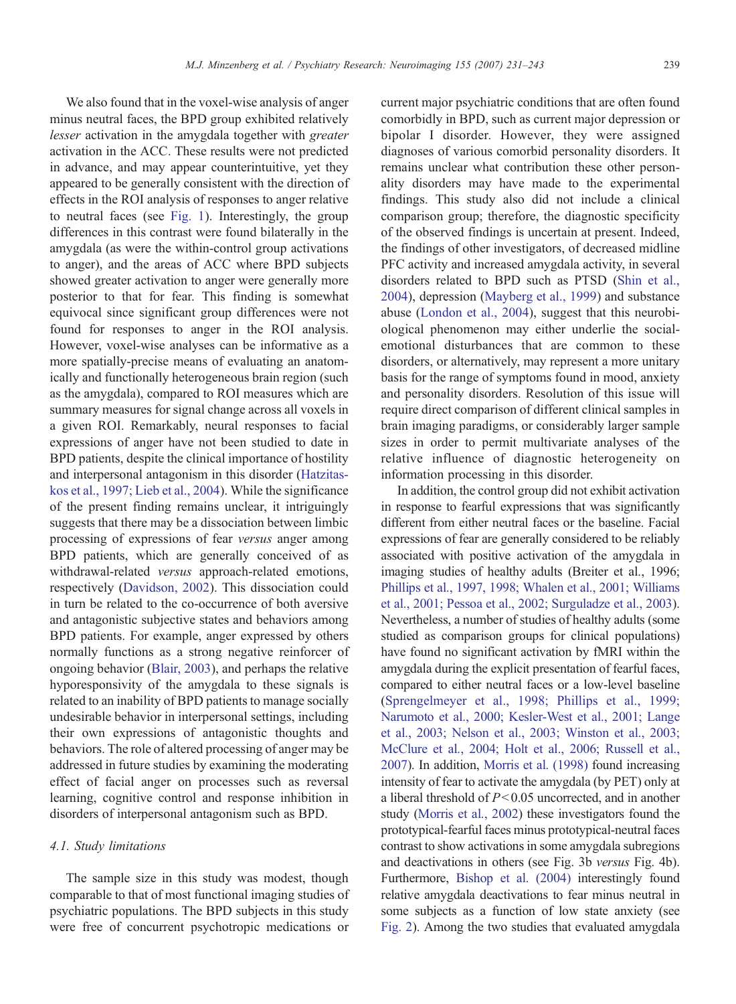We also found that in the voxel-wise analysis of anger minus neutral faces, the BPD group exhibited relatively lesser activation in the amygdala together with greater activation in the ACC. These results were not predicted in advance, and may appear counterintuitive, yet they appeared to be generally consistent with the direction of effects in the ROI analysis of responses to anger relative to neutral faces (see [Fig. 1\)](#page-4-0). Interestingly, the group differences in this contrast were found bilaterally in the amygdala (as were the within-control group activations to anger), and the areas of ACC where BPD subjects showed greater activation to anger were generally more posterior to that for fear. This finding is somewhat equivocal since significant group differences were not found for responses to anger in the ROI analysis. However, voxel-wise analyses can be informative as a more spatially-precise means of evaluating an anatomically and functionally heterogeneous brain region (such as the amygdala), compared to ROI measures which are summary measures for signal change across all voxels in a given ROI. Remarkably, neural responses to facial expressions of anger have not been studied to date in BPD patients, despite the clinical importance of hostility and interpersonal antagonism in this disorder ([Hatzitas](#page-10-0)[kos et al., 1997; Lieb et al., 2004\)](#page-10-0). While the significance of the present finding remains unclear, it intriguingly suggests that there may be a dissociation between limbic processing of expressions of fear versus anger among BPD patients, which are generally conceived of as withdrawal-related versus approach-related emotions, respectively [\(Davidson, 2002](#page-9-0)). This dissociation could in turn be related to the co-occurrence of both aversive and antagonistic subjective states and behaviors among BPD patients. For example, anger expressed by others normally functions as a strong negative reinforcer of ongoing behavior [\(Blair, 2003](#page-9-0)), and perhaps the relative hyporesponsivity of the amygdala to these signals is related to an inability of BPD patients to manage socially undesirable behavior in interpersonal settings, including their own expressions of antagonistic thoughts and behaviors. The role of altered processing of anger may be addressed in future studies by examining the moderating effect of facial anger on processes such as reversal learning, cognitive control and response inhibition in disorders of interpersonal antagonism such as BPD.

## 4.1. Study limitations

The sample size in this study was modest, though comparable to that of most functional imaging studies of psychiatric populations. The BPD subjects in this study were free of concurrent psychotropic medications or

current major psychiatric conditions that are often found comorbidly in BPD, such as current major depression or bipolar I disorder. However, they were assigned diagnoses of various comorbid personality disorders. It remains unclear what contribution these other personality disorders may have made to the experimental findings. This study also did not include a clinical comparison group; therefore, the diagnostic specificity of the observed findings is uncertain at present. Indeed, the findings of other investigators, of decreased midline PFC activity and increased amygdala activity, in several disorders related to BPD such as PTSD ([Shin et al.,](#page-11-0) [2004\)](#page-11-0), depression ([Mayberg et al., 1999\)](#page-10-0) and substance abuse [\(London et al., 2004](#page-10-0)), suggest that this neurobiological phenomenon may either underlie the socialemotional disturbances that are common to these disorders, or alternatively, may represent a more unitary basis for the range of symptoms found in mood, anxiety and personality disorders. Resolution of this issue will require direct comparison of different clinical samples in brain imaging paradigms, or considerably larger sample sizes in order to permit multivariate analyses of the relative influence of diagnostic heterogeneity on information processing in this disorder.

In addition, the control group did not exhibit activation in response to fearful expressions that was significantly different from either neutral faces or the baseline. Facial expressions of fear are generally considered to be reliably associated with positive activation of the amygdala in imaging studies of healthy adults (Breiter et al., 1996; [Phillips et al., 1997, 1998; Whalen et al., 2001; Williams](#page-11-0) [et al., 2001; Pessoa et al., 2002; Surguladze et al., 2003](#page-11-0)). Nevertheless, a number of studies of healthy adults (some studied as comparison groups for clinical populations) have found no significant activation by fMRI within the amygdala during the explicit presentation of fearful faces, compared to either neutral faces or a low-level baseline [\(Sprengelmeyer et al., 1998; Phillips et al., 1999;](#page-11-0) [Narumoto et al., 2000; Kesler-West et al., 2001; Lange](#page-11-0) [et al., 2003; Nelson et al., 2003;](#page-11-0) [Winston et al., 2003;](#page-12-0) [McClure et al., 2004; Holt et al., 2006; Russell et al.,](#page-12-0) [2007](#page-12-0)). In addition, [Morris et al. \(1998\)](#page-10-0) found increasing intensity of fear to activate the amygdala (by PET) only at a liberal threshold of  $P<0.05$  uncorrected, and in another study [\(Morris et al., 2002\)](#page-10-0) these investigators found the prototypical-fearful faces minus prototypical-neutral faces contrast to show activations in some amygdala subregions and deactivations in others (see Fig. 3b versus Fig. 4b). Furthermore, [Bishop et al. \(2004\)](#page-9-0) interestingly found relative amygdala deactivations to fear minus neutral in some subjects as a function of low state anxiety (see [Fig. 2](#page-6-0)). Among the two studies that evaluated amygdala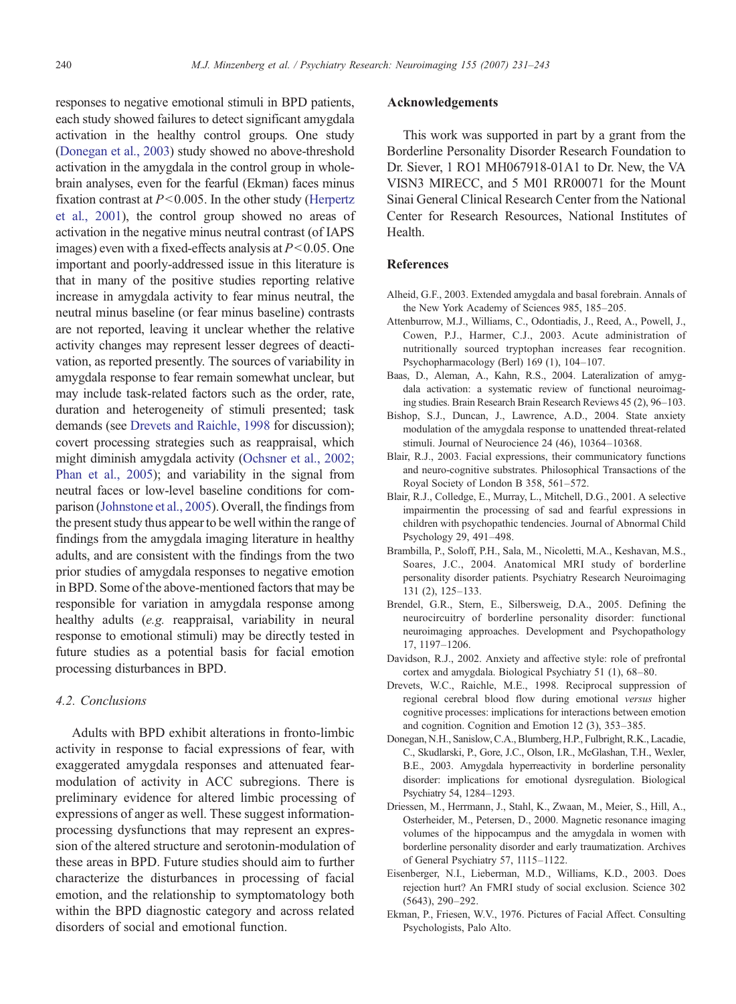<span id="page-9-0"></span>responses to negative emotional stimuli in BPD patients, each study showed failures to detect significant amygdala activation in the healthy control groups. One study (Donegan et al., 2003) study showed no above-threshold activation in the amygdala in the control group in wholebrain analyses, even for the fearful (Ekman) faces minus fixation contrast at  $P<0.005$ . In the other study ([Herpertz](#page-10-0) [et al., 2001](#page-10-0)), the control group showed no areas of activation in the negative minus neutral contrast (of IAPS images) even with a fixed-effects analysis at  $P<0.05$ . One important and poorly-addressed issue in this literature is that in many of the positive studies reporting relative increase in amygdala activity to fear minus neutral, the neutral minus baseline (or fear minus baseline) contrasts are not reported, leaving it unclear whether the relative activity changes may represent lesser degrees of deactivation, as reported presently. The sources of variability in amygdala response to fear remain somewhat unclear, but may include task-related factors such as the order, rate, duration and heterogeneity of stimuli presented; task demands (see Drevets and Raichle, 1998 for discussion); covert processing strategies such as reappraisal, which might diminish amygdala activity ([Ochsner et al., 2002;](#page-11-0) [Phan et al., 2005](#page-11-0)); and variability in the signal from neutral faces or low-level baseline conditions for comparison [\(Johnstone et al., 2005](#page-10-0)). Overall, the findings from the present study thus appear to be well within the range of findings from the amygdala imaging literature in healthy adults, and are consistent with the findings from the two prior studies of amygdala responses to negative emotion in BPD. Some of the above-mentioned factors that may be responsible for variation in amygdala response among healthy adults (e.g. reappraisal, variability in neural response to emotional stimuli) may be directly tested in future studies as a potential basis for facial emotion processing disturbances in BPD.

## 4.2. Conclusions

Adults with BPD exhibit alterations in fronto-limbic activity in response to facial expressions of fear, with exaggerated amygdala responses and attenuated fearmodulation of activity in ACC subregions. There is preliminary evidence for altered limbic processing of expressions of anger as well. These suggest informationprocessing dysfunctions that may represent an expression of the altered structure and serotonin-modulation of these areas in BPD. Future studies should aim to further characterize the disturbances in processing of facial emotion, and the relationship to symptomatology both within the BPD diagnostic category and across related disorders of social and emotional function.

### Acknowledgements

This work was supported in part by a grant from the Borderline Personality Disorder Research Foundation to Dr. Siever, 1 RO1 MH067918-01A1 to Dr. New, the VA VISN3 MIRECC, and 5 M01 RR00071 for the Mount Sinai General Clinical Research Center from the National Center for Research Resources, National Institutes of **Health** 

#### **References**

- Alheid, G.F., 2003. Extended amygdala and basal forebrain. Annals of the New York Academy of Sciences 985, 185–205.
- Attenburrow, M.J., Williams, C., Odontiadis, J., Reed, A., Powell, J., Cowen, P.J., Harmer, C.J., 2003. Acute administration of nutritionally sourced tryptophan increases fear recognition. Psychopharmacology (Berl) 169 (1), 104–107.
- Baas, D., Aleman, A., Kahn, R.S., 2004. Lateralization of amygdala activation: a systematic review of functional neuroimaging studies. Brain Research Brain Research Reviews 45 (2), 96–103.
- Bishop, S.J., Duncan, J., Lawrence, A.D., 2004. State anxiety modulation of the amygdala response to unattended threat-related stimuli. Journal of Neurocience 24 (46), 10364–10368.
- Blair, R.J., 2003. Facial expressions, their communicatory functions and neuro-cognitive substrates. Philosophical Transactions of the Royal Society of London B 358, 561–572.
- Blair, R.J., Colledge, E., Murray, L., Mitchell, D.G., 2001. A selective impairmentin the processing of sad and fearful expressions in children with psychopathic tendencies. Journal of Abnormal Child Psychology 29, 491–498.
- Brambilla, P., Soloff, P.H., Sala, M., Nicoletti, M.A., Keshavan, M.S., Soares, J.C., 2004. Anatomical MRI study of borderline personality disorder patients. Psychiatry Research Neuroimaging 131 (2), 125–133.
- Brendel, G.R., Stern, E., Silbersweig, D.A., 2005. Defining the neurocircuitry of borderline personality disorder: functional neuroimaging approaches. Development and Psychopathology 17, 1197–1206.
- Davidson, R.J., 2002. Anxiety and affective style: role of prefrontal cortex and amygdala. Biological Psychiatry 51 (1), 68–80.
- Drevets, W.C., Raichle, M.E., 1998. Reciprocal suppression of regional cerebral blood flow during emotional versus higher cognitive processes: implications for interactions between emotion and cognition. Cognition and Emotion 12 (3), 353–385.
- Donegan, N.H., Sanislow, C.A., Blumberg, H.P., Fulbright, R.K., Lacadie, C., Skudlarski, P., Gore, J.C., Olson, I.R., McGlashan, T.H., Wexler, B.E., 2003. Amygdala hyperreactivity in borderline personality disorder: implications for emotional dysregulation. Biological Psychiatry 54, 1284–1293.
- Driessen, M., Herrmann, J., Stahl, K., Zwaan, M., Meier, S., Hill, A., Osterheider, M., Petersen, D., 2000. Magnetic resonance imaging volumes of the hippocampus and the amygdala in women with borderline personality disorder and early traumatization. Archives of General Psychiatry 57, 1115–1122.
- Eisenberger, N.I., Lieberman, M.D., Williams, K.D., 2003. Does rejection hurt? An FMRI study of social exclusion. Science 302 (5643), 290–292.
- Ekman, P., Friesen, W.V., 1976. Pictures of Facial Affect. Consulting Psychologists, Palo Alto.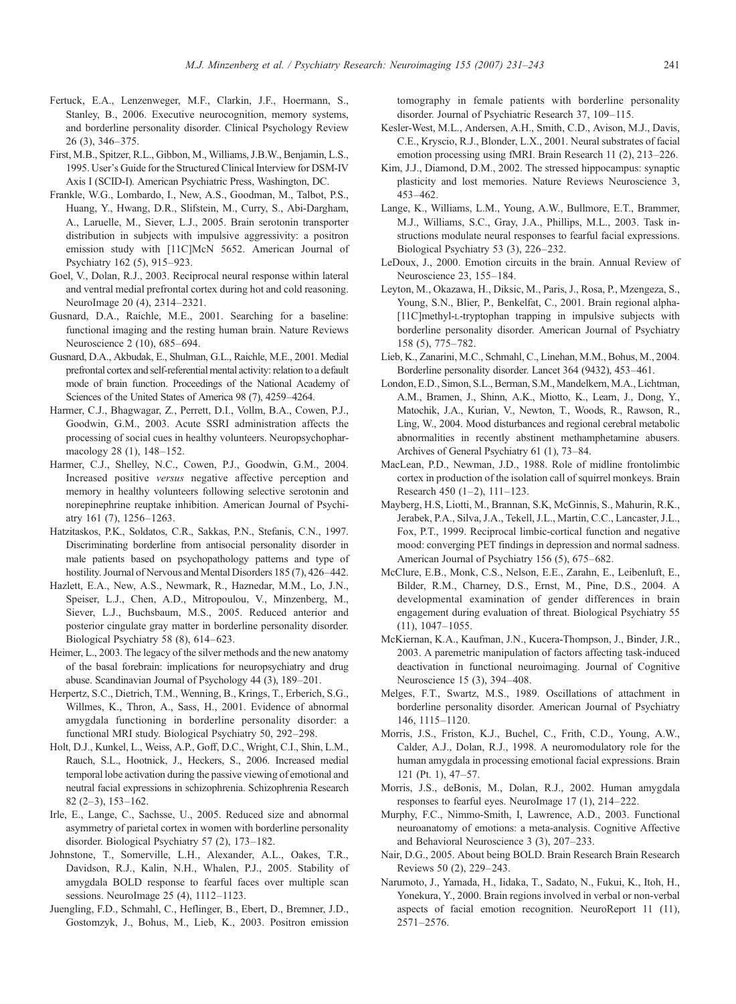- <span id="page-10-0"></span>Fertuck, E.A., Lenzenweger, M.F., Clarkin, J.F., Hoermann, S., Stanley, B., 2006. Executive neurocognition, memory systems, and borderline personality disorder. Clinical Psychology Review 26 (3), 346–375.
- First, M.B., Spitzer, R.L., Gibbon, M., Williams, J.B.W., Benjamin, L.S., 1995. User's Guide for the Structured Clinical Interview for DSM-IV Axis I (SCID-I). American Psychiatric Press, Washington, DC.
- Frankle, W.G., Lombardo, I., New, A.S., Goodman, M., Talbot, P.S., Huang, Y., Hwang, D.R., Slifstein, M., Curry, S., Abi-Dargham, A., Laruelle, M., Siever, L.J., 2005. Brain serotonin transporter distribution in subjects with impulsive aggressivity: a positron emission study with [11C]McN 5652. American Journal of Psychiatry 162 (5), 915–923.
- Goel, V., Dolan, R.J., 2003. Reciprocal neural response within lateral and ventral medial prefrontal cortex during hot and cold reasoning. NeuroImage 20 (4), 2314–2321.
- Gusnard, D.A., Raichle, M.E., 2001. Searching for a baseline: functional imaging and the resting human brain. Nature Reviews Neuroscience 2 (10), 685–694.
- Gusnard, D.A., Akbudak, E., Shulman, G.L., Raichle, M.E., 2001. Medial prefrontal cortex and self-referential mental activity: relation to a default mode of brain function. Proceedings of the National Academy of Sciences of the United States of America 98 (7), 4259–4264.
- Harmer, C.J., Bhagwagar, Z., Perrett, D.I., Vollm, B.A., Cowen, P.J., Goodwin, G.M., 2003. Acute SSRI administration affects the processing of social cues in healthy volunteers. Neuropsychopharmacology 28 (1), 148–152.
- Harmer, C.J., Shelley, N.C., Cowen, P.J., Goodwin, G.M., 2004. Increased positive versus negative affective perception and memory in healthy volunteers following selective serotonin and norepinephrine reuptake inhibition. American Journal of Psychiatry 161 (7), 1256–1263.
- Hatzitaskos, P.K., Soldatos, C.R., Sakkas, P.N., Stefanis, C.N., 1997. Discriminating borderline from antisocial personality disorder in male patients based on psychopathology patterns and type of hostility. Journal of Nervous and Mental Disorders 185 (7), 426–442.
- Hazlett, E.A., New, A.S., Newmark, R., Haznedar, M.M., Lo, J.N., Speiser, L.J., Chen, A.D., Mitropoulou, V., Minzenberg, M., Siever, L.J., Buchsbaum, M.S., 2005. Reduced anterior and posterior cingulate gray matter in borderline personality disorder. Biological Psychiatry 58 (8), 614–623.
- Heimer, L., 2003. The legacy of the silver methods and the new anatomy of the basal forebrain: implications for neuropsychiatry and drug abuse. Scandinavian Journal of Psychology 44 (3), 189–201.
- Herpertz, S.C., Dietrich, T.M., Wenning, B., Krings, T., Erberich, S.G., Willmes, K., Thron, A., Sass, H., 2001. Evidence of abnormal amygdala functioning in borderline personality disorder: a functional MRI study. Biological Psychiatry 50, 292–298.
- Holt, D.J., Kunkel, L., Weiss, A.P., Goff, D.C., Wright, C.I., Shin, L.M., Rauch, S.L., Hootnick, J., Heckers, S., 2006. Increased medial temporal lobe activation during the passive viewing of emotional and neutral facial expressions in schizophrenia. Schizophrenia Research 82 (2–3), 153–162.
- Irle, E., Lange, C., Sachsse, U., 2005. Reduced size and abnormal asymmetry of parietal cortex in women with borderline personality disorder. Biological Psychiatry 57 (2), 173–182.
- Johnstone, T., Somerville, L.H., Alexander, A.L., Oakes, T.R., Davidson, R.J., Kalin, N.H., Whalen, P.J., 2005. Stability of amygdala BOLD response to fearful faces over multiple scan sessions. NeuroImage 25 (4), 1112–1123.
- Juengling, F.D., Schmahl, C., Heflinger, B., Ebert, D., Bremner, J.D., Gostomzyk, J., Bohus, M., Lieb, K., 2003. Positron emission

tomography in female patients with borderline personality disorder. Journal of Psychiatric Research 37, 109–115.

- Kesler-West, M.L., Andersen, A.H., Smith, C.D., Avison, M.J., Davis, C.E., Kryscio, R.J., Blonder, L.X., 2001. Neural substrates of facial emotion processing using fMRI. Brain Research 11 (2), 213–226.
- Kim, J.J., Diamond, D.M., 2002. The stressed hippocampus: synaptic plasticity and lost memories. Nature Reviews Neuroscience 3, 453–462.
- Lange, K., Williams, L.M., Young, A.W., Bullmore, E.T., Brammer, M.J., Williams, S.C., Gray, J.A., Phillips, M.L., 2003. Task instructions modulate neural responses to fearful facial expressions. Biological Psychiatry 53 (3), 226–232.
- LeDoux, J., 2000. Emotion circuits in the brain. Annual Review of Neuroscience 23, 155–184.
- Leyton, M., Okazawa, H., Diksic, M., Paris, J., Rosa, P., Mzengeza, S., Young, S.N., Blier, P., Benkelfat, C., 2001. Brain regional alpha- [11C]methyl-L-tryptophan trapping in impulsive subjects with borderline personality disorder. American Journal of Psychiatry 158 (5), 775–782.
- Lieb, K., Zanarini, M.C., Schmahl, C., Linehan, M.M., Bohus, M., 2004. Borderline personality disorder. Lancet 364 (9432), 453–461.
- London, E.D., Simon, S.L., Berman, S.M., Mandelkern, M.A., Lichtman, A.M., Bramen, J., Shinn, A.K., Miotto, K., Learn, J., Dong, Y., Matochik, J.A., Kurian, V., Newton, T., Woods, R., Rawson, R., Ling, W., 2004. Mood disturbances and regional cerebral metabolic abnormalities in recently abstinent methamphetamine abusers. Archives of General Psychiatry 61 (1), 73–84.
- MacLean, P.D., Newman, J.D., 1988. Role of midline frontolimbic cortex in production of the isolation call of squirrel monkeys. Brain Research 450 (1–2), 111–123.
- Mayberg, H.S, Liotti, M., Brannan, S.K, McGinnis, S., Mahurin, R.K., Jerabek, P.A., Silva, J.A., Tekell, J.L., Martin, C.C., Lancaster, J.L., Fox, P.T., 1999. Reciprocal limbic-cortical function and negative mood: converging PET findings in depression and normal sadness. American Journal of Psychiatry 156 (5), 675–682.
- McClure, E.B., Monk, C.S., Nelson, E.E., Zarahn, E., Leibenluft, E., Bilder, R.M., Charney, D.S., Ernst, M., Pine, D.S., 2004. A developmental examination of gender differences in brain engagement during evaluation of threat. Biological Psychiatry 55 (11), 1047–1055.
- McKiernan, K.A., Kaufman, J.N., Kucera-Thompson, J., Binder, J.R., 2003. A paremetric manipulation of factors affecting task-induced deactivation in functional neuroimaging. Journal of Cognitive Neuroscience 15 (3), 394–408.
- Melges, F.T., Swartz, M.S., 1989. Oscillations of attachment in borderline personality disorder. American Journal of Psychiatry 146, 1115–1120.
- Morris, J.S., Friston, K.J., Buchel, C., Frith, C.D., Young, A.W., Calder, A.J., Dolan, R.J., 1998. A neuromodulatory role for the human amygdala in processing emotional facial expressions. Brain 121 (Pt. 1), 47–57.
- Morris, J.S., deBonis, M., Dolan, R.J., 2002. Human amygdala responses to fearful eyes. NeuroImage 17 (1), 214–222.
- Murphy, F.C., Nimmo-Smith, I, Lawrence, A.D., 2003. Functional neuroanatomy of emotions: a meta-analysis. Cognitive Affective and Behavioral Neuroscience 3 (3), 207–233.
- Nair, D.G., 2005. About being BOLD. Brain Research Brain Research Reviews 50 (2), 229–243.
- Narumoto, J., Yamada, H., Iidaka, T., Sadato, N., Fukui, K., Itoh, H., Yonekura, Y., 2000. Brain regions involved in verbal or non-verbal aspects of facial emotion recognition. NeuroReport 11 (11), 2571–2576.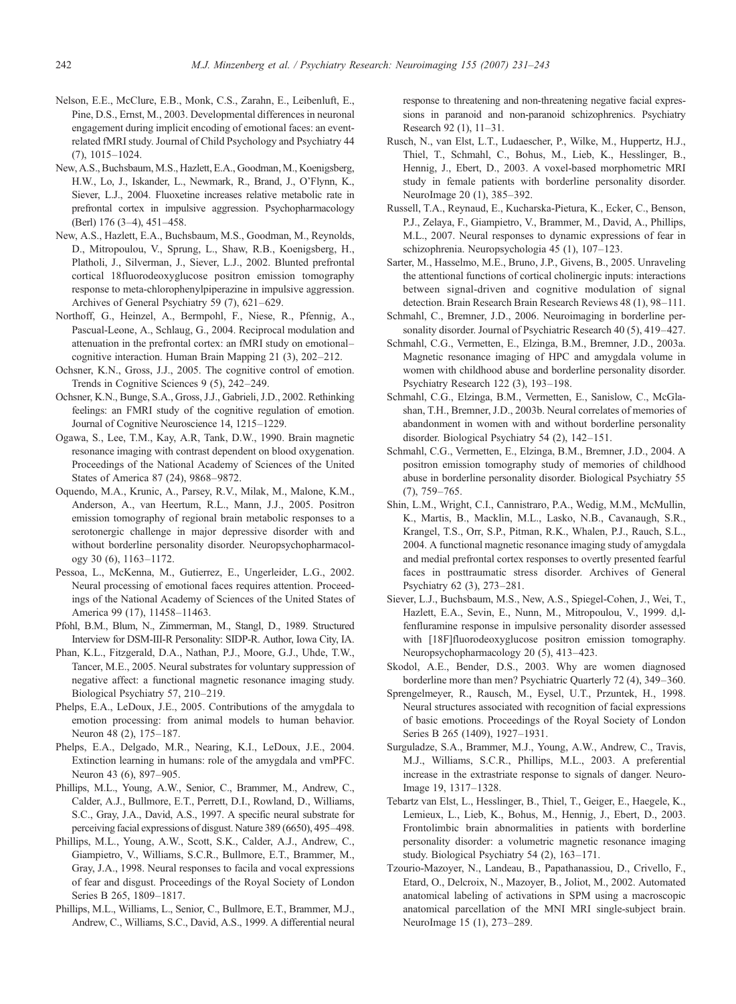- <span id="page-11-0"></span>Nelson, E.E., McClure, E.B., Monk, C.S., Zarahn, E., Leibenluft, E., Pine, D.S., Ernst, M., 2003. Developmental differences in neuronal engagement during implicit encoding of emotional faces: an eventrelated fMRI study. Journal of Child Psychology and Psychiatry 44 (7), 1015–1024.
- New, A.S., Buchsbaum, M.S., Hazlett, E.A., Goodman, M., Koenigsberg, H.W., Lo, J., Iskander, L., Newmark, R., Brand, J., O'Flynn, K., Siever, L.J., 2004. Fluoxetine increases relative metabolic rate in prefrontal cortex in impulsive aggression. Psychopharmacology (Berl) 176 (3–4), 451–458.
- New, A.S., Hazlett, E.A., Buchsbaum, M.S., Goodman, M., Reynolds, D., Mitropoulou, V., Sprung, L., Shaw, R.B., Koenigsberg, H., Platholi, J., Silverman, J., Siever, L.J., 2002. Blunted prefrontal cortical 18fluorodeoxyglucose positron emission tomography response to meta-chlorophenylpiperazine in impulsive aggression. Archives of General Psychiatry 59 (7), 621–629.
- Northoff, G., Heinzel, A., Bermpohl, F., Niese, R., Pfennig, A., Pascual-Leone, A., Schlaug, G., 2004. Reciprocal modulation and attenuation in the prefrontal cortex: an fMRI study on emotional– cognitive interaction. Human Brain Mapping 21 (3), 202–212.
- Ochsner, K.N., Gross, J.J., 2005. The cognitive control of emotion. Trends in Cognitive Sciences 9 (5), 242–249.
- Ochsner, K.N., Bunge, S.A., Gross, J.J., Gabrieli, J.D., 2002. Rethinking feelings: an FMRI study of the cognitive regulation of emotion. Journal of Cognitive Neuroscience 14, 1215–1229.
- Ogawa, S., Lee, T.M., Kay, A.R, Tank, D.W., 1990. Brain magnetic resonance imaging with contrast dependent on blood oxygenation. Proceedings of the National Academy of Sciences of the United States of America 87 (24), 9868–9872.
- Oquendo, M.A., Krunic, A., Parsey, R.V., Milak, M., Malone, K.M., Anderson, A., van Heertum, R.L., Mann, J.J., 2005. Positron emission tomography of regional brain metabolic responses to a serotonergic challenge in major depressive disorder with and without borderline personality disorder. Neuropsychopharmacology 30 (6), 1163–1172.
- Pessoa, L., McKenna, M., Gutierrez, E., Ungerleider, L.G., 2002. Neural processing of emotional faces requires attention. Proceedings of the National Academy of Sciences of the United States of America 99 (17), 11458–11463.
- Pfohl, B.M., Blum, N., Zimmerman, M., Stangl, D., 1989. Structured Interview for DSM-III-R Personality: SIDP-R. Author, Iowa City, IA.
- Phan, K.L., Fitzgerald, D.A., Nathan, P.J., Moore, G.J., Uhde, T.W., Tancer, M.E., 2005. Neural substrates for voluntary suppression of negative affect: a functional magnetic resonance imaging study. Biological Psychiatry 57, 210–219.
- Phelps, E.A., LeDoux, J.E., 2005. Contributions of the amygdala to emotion processing: from animal models to human behavior. Neuron 48 (2), 175–187.
- Phelps, E.A., Delgado, M.R., Nearing, K.I., LeDoux, J.E., 2004. Extinction learning in humans: role of the amygdala and vmPFC. Neuron 43 (6), 897–905.
- Phillips, M.L., Young, A.W., Senior, C., Brammer, M., Andrew, C., Calder, A.J., Bullmore, E.T., Perrett, D.I., Rowland, D., Williams, S.C., Gray, J.A., David, A.S., 1997. A specific neural substrate for perceiving facial expressions of disgust. Nature 389 (6650), 495–498.
- Phillips, M.L., Young, A.W., Scott, S.K., Calder, A.J., Andrew, C., Giampietro, V., Williams, S.C.R., Bullmore, E.T., Brammer, M., Gray, J.A., 1998. Neural responses to facila and vocal expressions of fear and disgust. Proceedings of the Royal Society of London Series B 265, 1809–1817.
- Phillips, M.L., Williams, L., Senior, C., Bullmore, E.T., Brammer, M.J., Andrew, C., Williams, S.C., David, A.S., 1999. A differential neural

response to threatening and non-threatening negative facial expressions in paranoid and non-paranoid schizophrenics. Psychiatry Research 92 (1), 11–31.

- Rusch, N., van Elst, L.T., Ludaescher, P., Wilke, M., Huppertz, H.J., Thiel, T., Schmahl, C., Bohus, M., Lieb, K., Hesslinger, B., Hennig, J., Ebert, D., 2003. A voxel-based morphometric MRI study in female patients with borderline personality disorder. NeuroImage 20 (1), 385–392.
- Russell, T.A., Reynaud, E., Kucharska-Pietura, K., Ecker, C., Benson, P.J., Zelaya, F., Giampietro, V., Brammer, M., David, A., Phillips, M.L., 2007. Neural responses to dynamic expressions of fear in schizophrenia. Neuropsychologia 45 (1), 107–123.
- Sarter, M., Hasselmo, M.E., Bruno, J.P., Givens, B., 2005. Unraveling the attentional functions of cortical cholinergic inputs: interactions between signal-driven and cognitive modulation of signal detection. Brain Research Brain Research Reviews 48 (1), 98–111.
- Schmahl, C., Bremner, J.D., 2006. Neuroimaging in borderline personality disorder. Journal of Psychiatric Research 40 (5), 419–427.
- Schmahl, C.G., Vermetten, E., Elzinga, B.M., Bremner, J.D., 2003a. Magnetic resonance imaging of HPC and amygdala volume in women with childhood abuse and borderline personality disorder. Psychiatry Research 122 (3), 193–198.
- Schmahl, C.G., Elzinga, B.M., Vermetten, E., Sanislow, C., McGlashan, T.H., Bremner, J.D., 2003b. Neural correlates of memories of abandonment in women with and without borderline personality disorder. Biological Psychiatry 54 (2), 142–151.
- Schmahl, C.G., Vermetten, E., Elzinga, B.M., Bremner, J.D., 2004. A positron emission tomography study of memories of childhood abuse in borderline personality disorder. Biological Psychiatry 55 (7), 759–765.
- Shin, L.M., Wright, C.I., Cannistraro, P.A., Wedig, M.M., McMullin, K., Martis, B., Macklin, M.L., Lasko, N.B., Cavanaugh, S.R., Krangel, T.S., Orr, S.P., Pitman, R.K., Whalen, P.J., Rauch, S.L., 2004. A functional magnetic resonance imaging study of amygdala and medial prefrontal cortex responses to overtly presented fearful faces in posttraumatic stress disorder. Archives of General Psychiatry 62 (3), 273–281.
- Siever, L.J., Buchsbaum, M.S., New, A.S., Spiegel-Cohen, J., Wei, T., Hazlett, E.A., Sevin, E., Nunn, M., Mitropoulou, V., 1999. d,lfenfluramine response in impulsive personality disorder assessed with [18F]fluorodeoxyglucose positron emission tomography. Neuropsychopharmacology 20 (5), 413–423.
- Skodol, A.E., Bender, D.S., 2003. Why are women diagnosed borderline more than men? Psychiatric Quarterly 72 (4), 349–360.
- Sprengelmeyer, R., Rausch, M., Eysel, U.T., Przuntek, H., 1998. Neural structures associated with recognition of facial expressions of basic emotions. Proceedings of the Royal Society of London Series B 265 (1409), 1927–1931.
- Surguladze, S.A., Brammer, M.J., Young, A.W., Andrew, C., Travis, M.J., Williams, S.C.R., Phillips, M.L., 2003. A preferential increase in the extrastriate response to signals of danger. Neuro-Image 19, 1317–1328.
- Tebartz van Elst, L., Hesslinger, B., Thiel, T., Geiger, E., Haegele, K., Lemieux, L., Lieb, K., Bohus, M., Hennig, J., Ebert, D., 2003. Frontolimbic brain abnormalities in patients with borderline personality disorder: a volumetric magnetic resonance imaging study. Biological Psychiatry 54 (2), 163–171.
- Tzourio-Mazoyer, N., Landeau, B., Papathanassiou, D., Crivello, F., Etard, O., Delcroix, N., Mazoyer, B., Joliot, M., 2002. Automated anatomical labeling of activations in SPM using a macroscopic anatomical parcellation of the MNI MRI single-subject brain. NeuroImage 15 (1), 273–289.